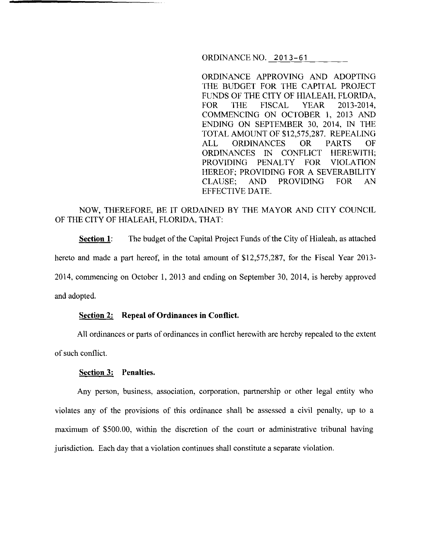ORDINANCE NO. 2013-61

ORDINANCE APPROVING AND ADOPTING THE BUDGET FOR THE CAPITAL PROJECT FUNDS OF THE CITY OF HIALEAH, FLORIDA, FOR THE FISCAL YEAR 2013-2014, COMMENCING ON OCTOBER 1, 2013 AND ENDING ON SEPTEMBER 30, 2014, IN THE TOTAL AMOUNT OF \$12,575,287. REPEALING ALL ORDINANCES OR PARTS OF ORDINANCES IN CONFLICT HEREWITH; PROVIDING PENALTY FOR VIOLATION HEREOF; PROVIDING FOR A SEVERABILITY CLAUSE; AND PROVIDING FOR AN EFFECTIVE DATE.

# NOW, THEREFORE, BE IT ORDAINED BY THE MAYOR AND CITY COUNCIL OF THE CITY OF HIALEAH, FLORIDA, THAT:

**Section 1:** The budget of the Capital Project Funds of the City of Hialeah, as attached hereto and made a part hereof, in the total amount of \$12,575,287, for the Fiscal Year 2013- 2014, commencing on October I, 2013 and ending on September 30, 2014, is hereby approved and adopted.

#### **Section 2: Repeal of Ordinances in Conflict.**

All ordinances or parts of ordinances in conflict herewith are hereby repealed to the extent of such conflict.

#### **Section 3: Penalties.**

Any person, business, association, corporation, partnership or other legal entity who violates any of the provisions of this ordinance shall be assessed a civil penalty, up to a maximum of \$500.00, within the discretion of the court or administrative tribunal having jurisdiction. Each day that a violation continues shall constitute a separate violation.